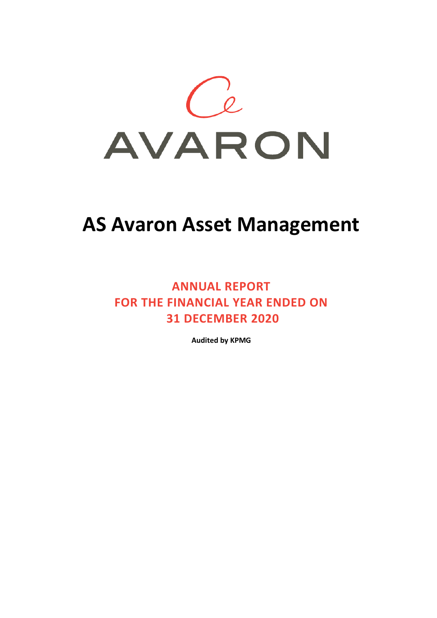

# **ANNUAL REPORT FOR THE FINANCIAL YEAR ENDED ON 31 DECEMBER 2020**

**Audited by KPMG**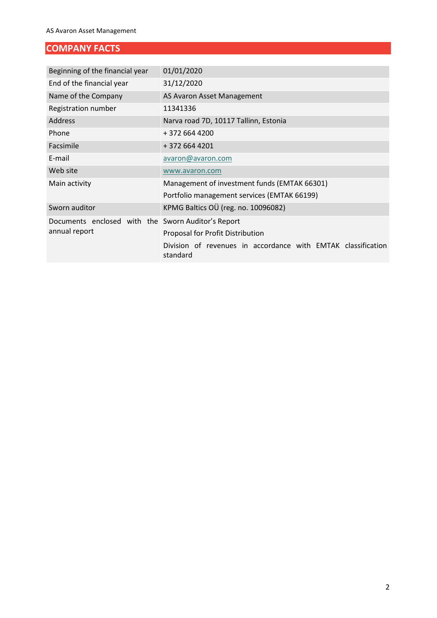# **COMPANY FACTS**

| Beginning of the financial year                    | 01/01/2020                                                               |  |  |  |
|----------------------------------------------------|--------------------------------------------------------------------------|--|--|--|
| End of the financial year                          | 31/12/2020                                                               |  |  |  |
| Name of the Company                                | AS Avaron Asset Management                                               |  |  |  |
| Registration number                                | 11341336                                                                 |  |  |  |
| <b>Address</b>                                     | Narva road 7D, 10117 Tallinn, Estonia                                    |  |  |  |
| Phone                                              | + 372 664 4200                                                           |  |  |  |
| Facsimile                                          | +372 664 4201                                                            |  |  |  |
| E-mail                                             | avaron@avaron.com                                                        |  |  |  |
| Web site                                           | www.avaron.com                                                           |  |  |  |
| Main activity                                      | Management of investment funds (EMTAK 66301)                             |  |  |  |
|                                                    | Portfolio management services (EMTAK 66199)                              |  |  |  |
| Sworn auditor                                      | KPMG Baltics OÜ (reg. no. 10096082)                                      |  |  |  |
| Documents enclosed with the Sworn Auditor's Report |                                                                          |  |  |  |
| annual report                                      | Proposal for Profit Distribution                                         |  |  |  |
|                                                    | Division of revenues in accordance with EMTAK classification<br>standard |  |  |  |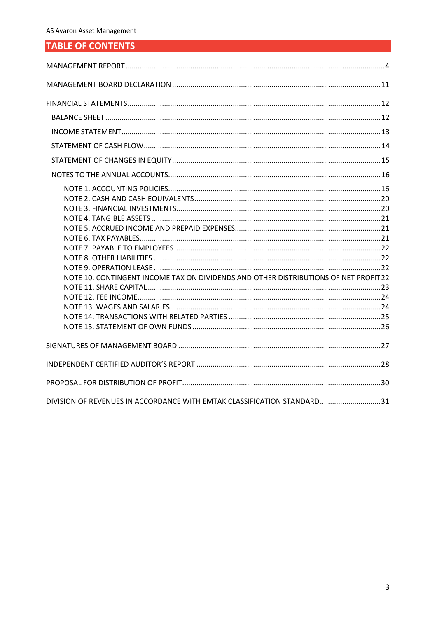# **TABLE OF CONTENTS**

| NOTE 10. CONTINGENT INCOME TAX ON DIVIDENDS AND OTHER DISTRIBUTIONS OF NET PROFIT 22 |  |
|--------------------------------------------------------------------------------------|--|
|                                                                                      |  |
|                                                                                      |  |
|                                                                                      |  |
|                                                                                      |  |
|                                                                                      |  |
|                                                                                      |  |
|                                                                                      |  |
|                                                                                      |  |
| DIVISION OF REVENUES IN ACCORDANCE WITH EMTAK CLASSIFICATION STANDARD31              |  |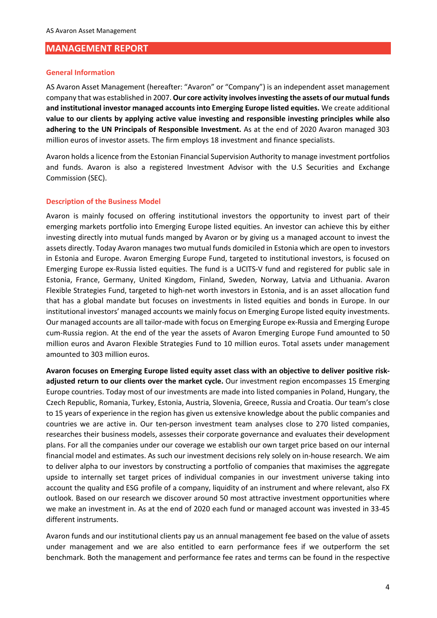#### <span id="page-3-0"></span>**MANAGEMENT REPORT**

#### **General Information**

AS Avaron Asset Management (hereafter: "Avaron" or "Company") is an independent asset management company that was established in 2007. **Our core activity involves investing the assets of our mutual funds and institutional investor managed accounts into Emerging Europe listed equities.** We create additional **value to our clients by applying active value investing and responsible investing principles while also adhering to the UN Principals of Responsible Investment.** As at the end of 2020 Avaron managed 303 million euros of investor assets. The firm employs 18 investment and finance specialists.

Avaron holds a [licence](https://www.fi.ee/index.php?id=1784&action=showentity&eid=26732) from the Estonian Financial Supervision Authority to manage investment portfolios and funds. Avaron is also a registered Investment Advisor with the U.S Securities and Exchange Commission (SEC).

#### **Description of the Business Model**

Avaron is mainly focused on offering institutional investors the opportunity to invest part of their emerging markets portfolio into Emerging Europe listed equities. An investor can achieve this by either investing directly into mutual funds manged by Avaron or by giving us a managed account to invest the assets directly. Today Avaron manages two mutual funds domiciled in Estonia which are open to investors in Estonia and Europe. Avaron Emerging Europe Fund, targeted to institutional investors, is focused on Emerging Europe ex-Russia listed equities. The fund is a UCITS-V fund and registered for public sale in Estonia, France, Germany, United Kingdom, Finland, Sweden, Norway, Latvia and Lithuania. Avaron Flexible Strategies Fund, targeted to high-net worth investors in Estonia, and is an asset allocation fund that has a global mandate but focuses on investments in listed equities and bonds in Europe. In our institutional investors' managed accounts we mainly focus on Emerging Europe listed equity investments. Our managed accounts are all tailor-made with focus on Emerging Europe ex-Russia and Emerging Europe cum-Russia region. At the end of the year the assets of Avaron Emerging Europe Fund amounted to 50 million euros and Avaron Flexible Strategies Fund to 10 million euros. Total assets under management amounted to 303 million euros.

**Avaron focuses on Emerging Europe listed equity asset class with an objective to deliver positive riskadjusted return to our clients over the market cycle.** Our investment region encompasses 15 Emerging Europe countries. Today most of our investments are made into listed companies in Poland, Hungary, the Czech Republic, Romania, Turkey, Estonia, Austria, Slovenia, Greece, Russia and Croatia. Our team's close to 15 years of experience in the region has given us extensive knowledge about the public companies and countries we are active in. Our ten-person investment team analyses close to 270 listed companies, researches their business models, assesses their corporate governance and evaluates their development plans. For all the companies under our coverage we establish our own target price based on our internal financial model and estimates. As such our investment decisions rely solely on in-house research. We aim to deliver alpha to our investors by constructing a portfolio of companies that maximises the aggregate upside to internally set target prices of individual companies in our investment universe taking into account the quality and ESG profile of a company, liquidity of an instrument and where relevant, also FX outlook. Based on our research we discover around 50 most attractive investment opportunities where we make an investment in. As at the end of 2020 each fund or managed account was invested in 33-45 different instruments.

Avaron funds and our institutional clients pay us an annual management fee based on the value of assets under management and we are also entitled to earn performance fees if we outperform the set benchmark. Both the management and performance fee rates and terms can be found in the respective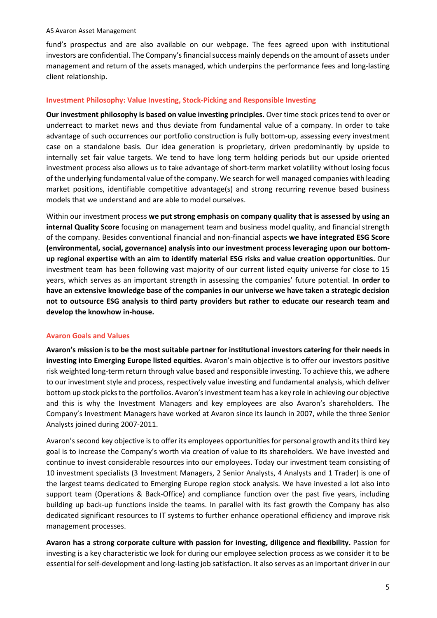fund's prospectus and are also available on our webpage. The fees agreed upon with institutional investors are confidential. The Company's financial success mainly depends on the amount of assets under management and return of the assets managed, which underpins the performance fees and long-lasting client relationship.

#### **Investment Philosophy: Value Investing, Stock-Picking and Responsible Investing**

**Our investment philosophy is based on value investing principles.** Over time stock prices tend to over or underreact to market news and thus deviate from fundamental value of a company. In order to take advantage of such occurrences our portfolio construction is fully bottom-up, assessing every investment case on a standalone basis. Our idea generation is proprietary, driven predominantly by upside to internally set fair value targets. We tend to have long term holding periods but our upside oriented investment process also allows us to take advantage of short-term market volatility without losing focus of the underlying fundamental value of the company. We search for well managed companies with leading market positions, identifiable competitive advantage(s) and strong recurring revenue based business models that we understand and are able to model ourselves.

Within our investment process **we put strong emphasis on company quality that is assessed by using an internal Quality Score** focusing on management team and business model quality, and financial strength of the company. Besides conventional financial and non-financial aspects **we have integrated ESG Score (environmental, social, governance) analysis into our investment process leveraging upon our bottomup regional expertise with an aim to identify material ESG risks and value creation opportunities.** Our investment team has been following vast majority of our current listed equity universe for close to 15 years, which serves as an important strength in assessing the companies' future potential. **In order to have an extensive knowledge base of the companies in our universe we have taken a strategic decision not to outsource ESG analysis to third party providers but rather to educate our research team and develop the knowhow in-house.**

#### **Avaron Goals and Values**

**Avaron's mission is to be the most suitable partner for institutional investors catering for their needs in investing into Emerging Europe listed equities.** Avaron's main objective is to offer our investors positive risk weighted long-term return through value based and responsible investing. To achieve this, we adhere to our investment style and process, respectively value investing and fundamental analysis, which deliver bottom up stock picks to the portfolios. Avaron's investment team has a key role in achieving our objective and this is why the Investment Managers and key employees are also Avaron's shareholders. The Company's Investment Managers have worked at Avaron since its launch in 2007, while the three Senior Analysts joined during 2007-2011.

Avaron's second key objective is to offer its employees opportunities for personal growth and its third key goal is to increase the Company's worth via creation of value to its shareholders. We have invested and continue to invest considerable resources into our employees. Today our investment team consisting of 10 investment specialists (3 Investment Managers, 2 Senior Analysts, 4 Analysts and 1 Trader) is one of the largest teams dedicated to Emerging Europe region stock analysis. We have invested a lot also into support team (Operations & Back-Office) and compliance function over the past five years, including building up back-up functions inside the teams. In parallel with its fast growth the Company has also dedicated significant resources to IT systems to further enhance operational efficiency and improve risk management processes.

**Avaron has a strong corporate culture with passion for investing, diligence and flexibility.** Passion for investing is a key characteristic we look for during our employee selection process as we consider it to be essential for self-development and long-lasting job satisfaction. It also serves as an important driver in our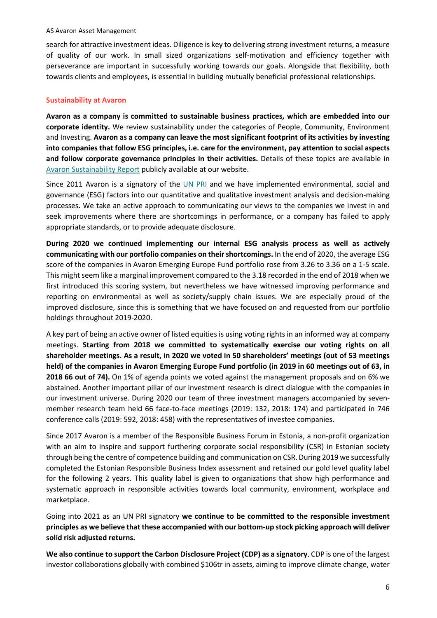search for attractive investment ideas. Diligence is key to delivering strong investment returns, a measure of quality of our work. In small sized organizations self-motivation and efficiency together with perseverance are important in successfully working towards our goals. Alongside that flexibility, both towards clients and employees, is essential in building mutually beneficial professional relationships.

#### **Sustainability at Avaron**

**Avaron as a company is committed to sustainable business practices, which are embedded into our corporate identity.** We review sustainability under the categories of People, Community, Environment and Investing. **Avaron as a company can leave the most significant footprint of its activities by investing into companies that follow ESG principles, i.e. care for the environment, pay attention to social aspects and follow corporate governance principles in their activities.** Details of these topics are available in [Avaron Sustainability Report](https://avaron.com/files/docs/Avaron_Sustainability_Report.pdf) publicly available at our website.

Since 2011 Avaron is a signatory of the [UN PRI](https://www.unpri.org/) and we have implemented environmental, social and governance (ESG) factors into our quantitative and qualitative investment analysis and decision-making processes. We take an active approach to communicating our views to the companies we invest in and seek improvements where there are shortcomings in performance, or a company has failed to apply appropriate standards, or to provide adequate disclosure.

**During 2020 we continued implementing our internal ESG analysis process as well as actively communicating with our portfolio companies on their shortcomings.** In the end of 2020, the average ESG score of the companies in Avaron Emerging Europe Fund portfolio rose from 3.26 to 3.36 on a 1-5 scale. This might seem like a marginal improvement compared to the 3.18 recorded in the end of 2018 when we first introduced this scoring system, but nevertheless we have witnessed improving performance and reporting on environmental as well as society/supply chain issues. We are especially proud of the improved disclosure, since this is something that we have focused on and requested from our portfolio holdings throughout 2019-2020.

A key part of being an active owner of listed equities is using voting rights in an informed way at company meetings. **Starting from 2018 we committed to systematically exercise our voting rights on all shareholder meetings. As a result, in 2020 we voted in 50 shareholders' meetings (out of 53 meetings held) of the companies in Avaron Emerging Europe Fund portfolio (in 2019 in 60 meetings out of 63, in 2018 66 out of 74).** On 1% of agenda points we voted against the management proposals and on 6% we abstained. Another important pillar of our investment research is direct dialogue with the companies in our investment universe. During 2020 our team of three investment managers accompanied by sevenmember research team held 66 face-to-face meetings (2019: 132, 2018: 174) and participated in 746 conference calls (2019: 592, 2018: 458) with the representatives of investee companies.

Since 2017 Avaron is a member of the [Responsible Business Forum in Estonia,](http://www.csr.ee/) a non-profit organization with an aim to inspire and support furthering corporate social responsibility (CSR) in Estonian society through being the centre of competence building and communication on CSR. During 2019 we successfully completed the Estonian Responsible Business Index assessment and retained our gold level quality label for the following 2 years. This quality label is given to organizations that show high performance and systematic approach in responsible activities towards local community, environment, workplace and marketplace.

Going into 2021 as an UN PRI signatory **we continue to be committed to the responsible investment principles as we believe that these accompanied with our bottom-up stock picking approach will deliver solid risk adjusted returns.** 

**We also continue to support the Carbon Disclosure Project (CDP) as a signatory**. CDP is one of the largest investor collaborations globally with combined \$106tr in assets, aiming to improve climate change, water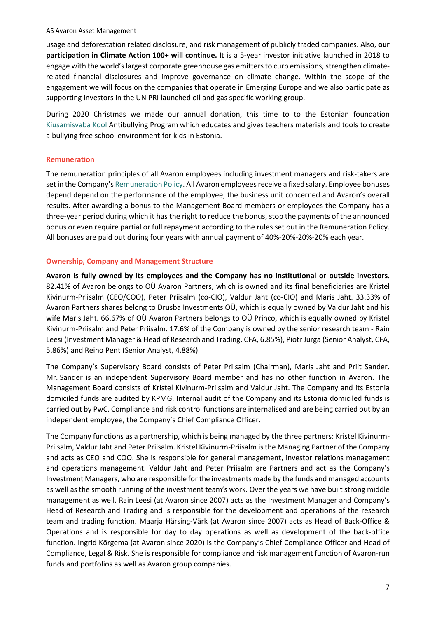usage and deforestation related disclosure, and risk management of publicly traded companies. Also, **our participation in Climate Action 100+ will continue.** It is a 5-year investor initiative launched in 2018 to engage with the world's largest corporate greenhouse gas emitters to curb emissions, strengthen climaterelated financial disclosures and improve governance on climate change. Within the scope of the engagement we will focus on the companies that operate in Emerging Europe and we also participate as supporting investors in the UN PRI launched oil and gas specific working group.

During 2020 Christmas we made our annual donation, this time to to the Estonian foundation [Kiusamisvaba Kool](https://kiusamisvaba.ee/) Antibullying Program which educates and gives teachers materials and tools to create a bullying free school environment for kids in Estonia.

#### **Remuneration**

The remuneration principles of all Avaron employees including investment managers and risk-takers are set in the Company'[s Remuneration Policy.](https://avaron.com/files/docs/Avaron_Remuneraton_Policy.pdf) All Avaron employees receive a fixed salary. Employee bonuses depend depend on the performance of the employee, the business unit concerned and Avaron's overall results. After awarding a bonus to the Management Board members or employees the Company has a three-year period during which it has the right to reduce the bonus, stop the payments of the announced bonus or even require partial or full repayment according to the rules set out in the Remuneration Policy. All bonuses are paid out during four years with annual payment of 40%-20%-20%-20% each year.

#### **Ownership, Company and Management Structure**

**Avaron is fully owned by its employees and the Company has no institutional or outside investors.** 82.41% of Avaron belongs to OÜ Avaron Partners, which is owned and its final beneficiaries are Kristel Kivinurm-Priisalm (CEO/COO), Peter Priisalm (co-CIO), Valdur Jaht (co-CIO) and Maris Jaht. 33.33% of Avaron Partners shares belong to Drusba Investments OÜ, which is equally owned by Valdur Jaht and his wife Maris Jaht. 66.67% of OÜ Avaron Partners belongs to OÜ Princo, which is equally owned by Kristel Kivinurm-Priisalm and Peter Priisalm. 17.6% of the Company is owned by the senior research team - Rain Leesi (Investment Manager & Head of Research and Trading, CFA, 6.85%), Piotr Jurga (Senior Analyst, CFA, 5.86%) and Reino Pent (Senior Analyst, 4.88%).

The Company's Supervisory Board consists of Peter Priisalm (Chairman), Maris Jaht and Priit Sander. Mr. Sander is an independent Supervisory Board member and has no other function in Avaron. The Management Board consists of Kristel Kivinurm-Priisalm and Valdur Jaht. The Company and its Estonia domiciled funds are audited by KPMG. Internal audit of the Company and its Estonia domiciled funds is carried out by PwC. Compliance and risk control functions are internalised and are being carried out by an independent employee, the Company's Chief Compliance Officer.

The Company functions as a partnership, which is being managed by the three partners: Kristel Kivinurm-Priisalm, Valdur Jaht and Peter Priisalm. Kristel Kivinurm-Priisalm is the Managing Partner of the Company and acts as CEO and COO. She is responsible for general management, investor relations management and operations management. Valdur Jaht and Peter Priisalm are Partners and act as the Company's Investment Managers, who are responsible for the investments made by the funds and managed accounts as well as the smooth running of the investment team's work. Over the years we have built strong middle management as well. Rain Leesi (at Avaron since 2007) acts as the Investment Manager and Company's Head of Research and Trading and is responsible for the development and operations of the research team and trading function. Maarja Härsing-Värk (at Avaron since 2007) acts as Head of Back-Office & Operations and is responsible for day to day operations as well as development of the back-office function. Ingrid Kõrgema (at Avaron since 2020) is the Company's Chief Compliance Officer and Head of Compliance, Legal & Risk. She is responsible for compliance and risk management function of Avaron-run funds and portfolios as well as Avaron group companies.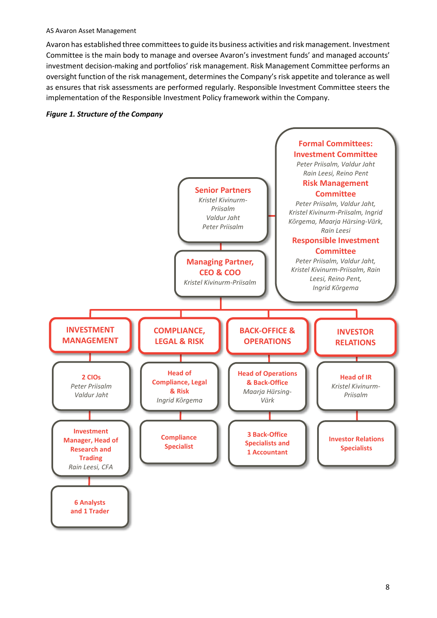Avaron has established three committees to guide its business activities and risk management. Investment Committee is the main body to manage and oversee Avaron's investment funds' and managed accounts' investment decision-making and portfolios' risk management. Risk Management Committee performs an oversight function of the risk management, determines the Company's risk appetite and tolerance as well as ensures that risk assessments are performed regularly. Responsible Investment Committee steers the implementation of the Responsible Investment Policy framework within the Company.



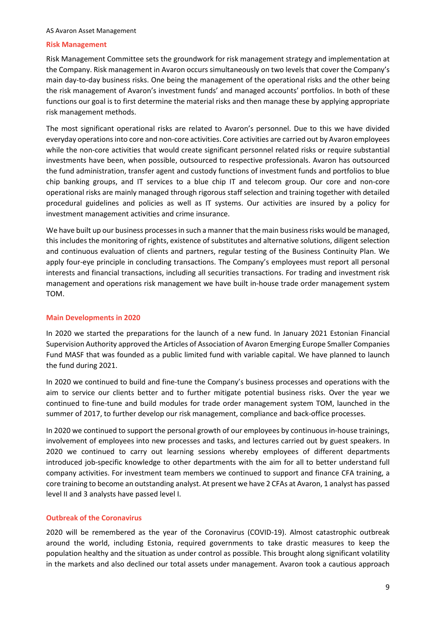#### **Risk Management**

Risk Management Committee sets the groundwork for risk management strategy and implementation at the Company. Risk management in Avaron occurs simultaneously on two levels that cover the Company's main day-to-day business risks. One being the management of the operational risks and the other being the risk management of Avaron's investment funds' and managed accounts' portfolios. In both of these functions our goal is to first determine the material risks and then manage these by applying appropriate risk management methods.

The most significant operational risks are related to Avaron's personnel. Due to this we have divided everyday operations into core and non-core activities. Core activities are carried out by Avaron employees while the non-core activities that would create significant personnel related risks or require substantial investments have been, when possible, outsourced to respective professionals. Avaron has outsourced the fund administration, transfer agent and custody functions of investment funds and portfolios to blue chip banking groups, and IT services to a blue chip IT and telecom group. Our core and non-core operational risks are mainly managed through rigorous staff selection and training together with detailed procedural guidelines and policies as well as IT systems. Our activities are insured by a policy for investment management activities and crime insurance.

We have built up our business processes in such a manner that the main business risks would be managed, this includes the monitoring of rights, existence of substitutes and alternative solutions, diligent selection and continuous evaluation of clients and partners, regular testing of the Business Continuity Plan. We apply four-eye principle in concluding transactions. The Company's employees must report all personal interests and financial transactions, including all securities transactions. For trading and investment risk management and operations risk management we have built in-house trade order management system TOM.

#### **Main Developments in 2020**

In 2020 we started the preparations for the launch of a new fund. In January 2021 Estonian Financial Supervision Authority approved the Articles of Association of Avaron Emerging Europe Smaller Companies Fund MASF that was founded as a public limited fund with variable capital. We have planned to launch the fund during 2021.

In 2020 we continued to build and fine-tune the Company's business processes and operations with the aim to service our clients better and to further mitigate potential business risks. Over the year we continued to fine-tune and build modules for trade order management system TOM, launched in the summer of 2017, to further develop our risk management, compliance and back-office processes.

In 2020 we continued to support the personal growth of our employees by continuous in-house trainings, involvement of employees into new processes and tasks, and lectures carried out by guest speakers. In 2020 we continued to carry out learning sessions whereby employees of different departments introduced job-specific knowledge to other departments with the aim for all to better understand full company activities. For investment team members we continued to support and finance CFA training, a core training to become an outstanding analyst. At present we have 2 CFAs at Avaron, 1 analyst has passed level II and 3 analysts have passed level I.

### **Outbreak of the Coronavirus**

2020 will be remembered as the year of the Coronavirus (COVID-19). Almost catastrophic outbreak around the world, including Estonia, required governments to take drastic measures to keep the population healthy and the situation as under control as possible. This brought along significant volatility in the markets and also declined our total assets under management. Avaron took a cautious approach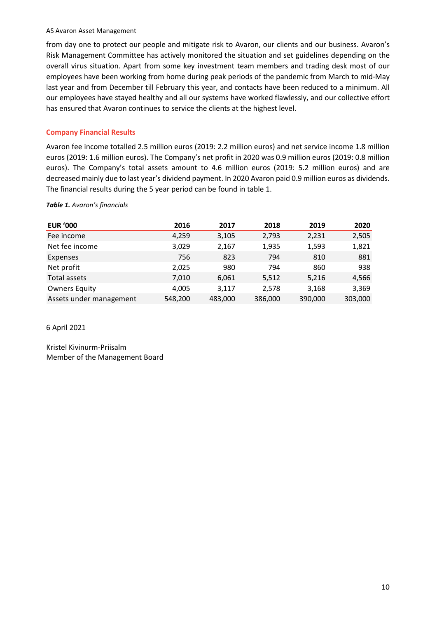from day one to protect our people and mitigate risk to Avaron, our clients and our business. Avaron's Risk Management Committee has actively monitored the situation and set guidelines depending on the overall virus situation. Apart from some key investment team members and trading desk most of our employees have been working from home during peak periods of the pandemic from March to mid-May last year and from December till February this year, and contacts have been reduced to a minimum. All our employees have stayed healthy and all our systems have worked flawlessly, and our collective effort has ensured that Avaron continues to service the clients at the highest level.

### **Company Financial Results**

Avaron fee income totalled 2.5 million euros (2019: 2.2 million euros) and net service income 1.8 million euros (2019: 1.6 million euros). The Company's net profit in 2020 was 0.9 million euros (2019: 0.8 million euros). The Company's total assets amount to 4.6 million euros (2019: 5.2 million euros) and are decreased mainly due to last year's dividend payment. In 2020 Avaron paid 0.9 million euros as dividends. The financial results during the 5 year period can be found in table 1.

#### *Table 1. Avaron's financials*

| <b>EUR '000</b>         | 2016    | 2017    | 2018    | 2019    | 2020    |
|-------------------------|---------|---------|---------|---------|---------|
| Fee income              | 4,259   | 3,105   | 2,793   | 2,231   | 2,505   |
| Net fee income          | 3,029   | 2,167   | 1,935   | 1,593   | 1,821   |
| Expenses                | 756     | 823     | 794     | 810     | 881     |
| Net profit              | 2,025   | 980     | 794     | 860     | 938     |
| Total assets            | 7,010   | 6,061   | 5,512   | 5,216   | 4,566   |
| <b>Owners Equity</b>    | 4,005   | 3,117   | 2,578   | 3,168   | 3,369   |
| Assets under management | 548,200 | 483,000 | 386,000 | 390,000 | 303,000 |

6 April 2021

Kristel Kivinurm-Priisalm Member of the Management Board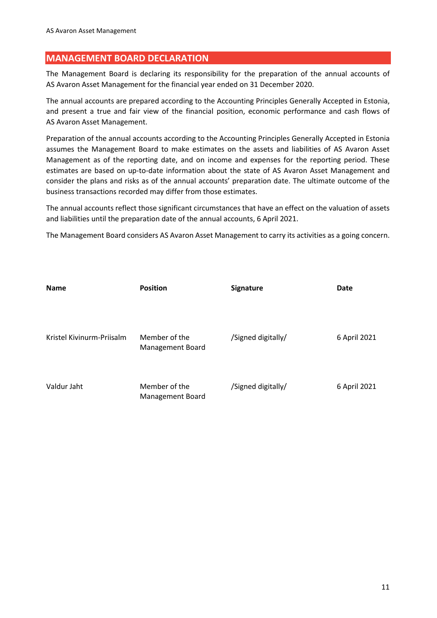### <span id="page-10-0"></span>**MANAGEMENT BOARD DECLARATION**

The Management Board is declaring its responsibility for the preparation of the annual accounts of AS Avaron Asset Management for the financial year ended on 31 December 2020.

The annual accounts are prepared according to the Accounting Principles Generally Accepted in Estonia, and present a true and fair view of the financial position, economic performance and cash flows of AS Avaron Asset Management.

Preparation of the annual accounts according to the Accounting Principles Generally Accepted in Estonia assumes the Management Board to make estimates on the assets and liabilities of AS Avaron Asset Management as of the reporting date, and on income and expenses for the reporting period. These estimates are based on up-to-date information about the state of AS Avaron Asset Management and consider the plans and risks as of the annual accounts' preparation date. The ultimate outcome of the business transactions recorded may differ from those estimates.

The annual accounts reflect those significant circumstances that have an effect on the valuation of assets and liabilities until the preparation date of the annual accounts, 6 April 2021.

The Management Board considers AS Avaron Asset Management to carry its activities as a going concern.

| <b>Name</b>               | <b>Position</b>  | <b>Signature</b>   | Date         |
|---------------------------|------------------|--------------------|--------------|
|                           |                  |                    |              |
|                           |                  |                    |              |
| Kristel Kivinurm-Priisalm | Member of the    | /Signed digitally/ | 6 April 2021 |
|                           | Management Board |                    |              |
|                           |                  |                    |              |
| Valdur Jaht               | Member of the    | /Signed digitally/ | 6 April 2021 |
|                           | Management Board |                    |              |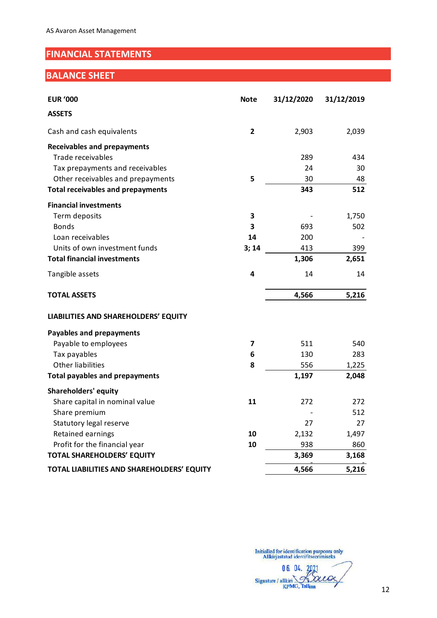# <span id="page-11-0"></span>**FINANCIAL STATEMENTS**

# <span id="page-11-1"></span>**BALANCE SHEET**

| <b>EUR '000</b>                            | <b>Note</b> | 31/12/2020 | 31/12/2019 |
|--------------------------------------------|-------------|------------|------------|
| <b>ASSETS</b>                              |             |            |            |
| Cash and cash equivalents                  | 2           | 2,903      | 2,039      |
| <b>Receivables and prepayments</b>         |             |            |            |
| Trade receivables                          |             | 289        | 434        |
| Tax prepayments and receivables            |             | 24         | 30         |
| Other receivables and prepayments          | 5           | 30         | 48         |
| <b>Total receivables and prepayments</b>   |             | 343        | 512        |
| <b>Financial investments</b>               |             |            |            |
| Term deposits                              | 3           |            | 1,750      |
| <b>Bonds</b>                               | 3           | 693        | 502        |
| Loan receivables                           | 14          | 200        |            |
| Units of own investment funds              | 3; 14       | 413        | 399        |
| <b>Total financial investments</b>         |             | 1,306      | 2,651      |
| Tangible assets                            | 4           | 14         | 14         |
| <b>TOTAL ASSETS</b>                        |             | 4,566      | 5,216      |
| LIABILITIES AND SHAREHOLDERS' EQUITY       |             |            |            |
| <b>Payables and prepayments</b>            |             |            |            |
| Payable to employees                       | 7           | 511        | 540        |
| Tax payables                               | 6           | 130        | 283        |
| <b>Other liabilities</b>                   | 8           | 556        | 1,225      |
| <b>Total payables and prepayments</b>      |             | 1,197      | 2,048      |
| <b>Shareholders' equity</b>                |             |            |            |
| Share capital in nominal value             | 11          | 272        | 272        |
| Share premium                              |             |            | 512        |
| Statutory legal reserve                    |             | 27         | 27         |
| Retained earnings                          | 10          | 2,132      | 1,497      |
| Profit for the financial year              | 10          | 938        | 860        |
| <b>TOTAL SHAREHOLDERS' EQUITY</b>          |             | 3,369      | 3,168      |
| TOTAL LIABILITIES AND SHAREHOLDERS' EQUITY |             | 4,566      | 5,216      |

06.04.2021 Signature / allkiri France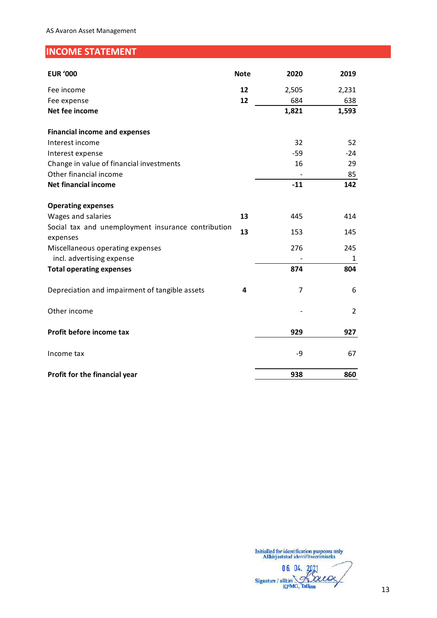# <span id="page-12-0"></span>**INCOME STATEMENT**

| <b>EUR '000</b>                                                | <b>Note</b> | 2020  | 2019  |
|----------------------------------------------------------------|-------------|-------|-------|
| Fee income                                                     | 12          | 2,505 | 2,231 |
| Fee expense                                                    | 12          | 684   | 638   |
| Net fee income                                                 |             | 1,821 | 1,593 |
| <b>Financial income and expenses</b>                           |             |       |       |
| Interest income                                                |             | 32    | 52    |
| Interest expense                                               |             | $-59$ | $-24$ |
| Change in value of financial investments                       |             | 16    | 29    |
| Other financial income                                         |             |       | 85    |
| <b>Net financial income</b>                                    |             | $-11$ | 142   |
| <b>Operating expenses</b>                                      |             |       |       |
| Wages and salaries                                             | 13          | 445   | 414   |
| Social tax and unemployment insurance contribution<br>expenses | 13          | 153   | 145   |
| Miscellaneous operating expenses                               |             | 276   | 245   |
| incl. advertising expense                                      |             |       | 1     |
| <b>Total operating expenses</b>                                |             | 874   | 804   |
| Depreciation and impairment of tangible assets                 | 4           | 7     | 6     |
| Other income                                                   |             |       | 2     |
| Profit before income tax                                       |             | 929   | 927   |
| Income tax                                                     |             | -9    | 67    |
| Profit for the financial year                                  |             | 938   | 860   |

06. 04. 2021 Signature / allkiri Laca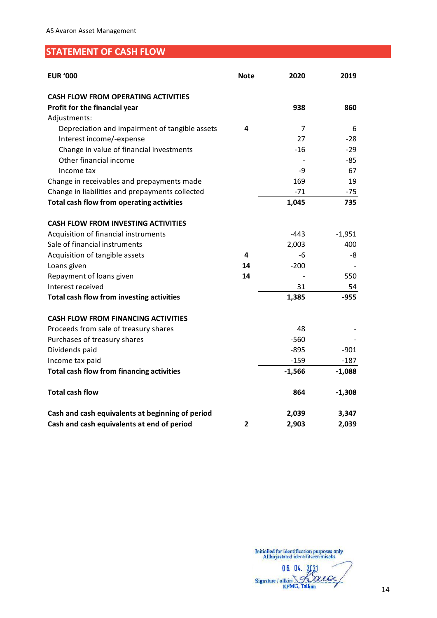# <span id="page-13-0"></span>**STATEMENT OF CASH FLOW**

| <b>EUR '000</b>                                  | <b>Note</b> | 2020     | 2019     |
|--------------------------------------------------|-------------|----------|----------|
| <b>CASH FLOW FROM OPERATING ACTIVITIES</b>       |             |          |          |
| Profit for the financial year                    |             | 938      | 860      |
| Adjustments:                                     |             |          |          |
| Depreciation and impairment of tangible assets   | 4           | 7        | 6        |
| Interest income/-expense                         |             | 27       | $-28$    |
| Change in value of financial investments         |             | $-16$    | $-29$    |
| Other financial income                           |             |          | $-85$    |
| Income tax                                       |             | -9       | 67       |
| Change in receivables and prepayments made       |             | 169      | 19       |
| Change in liabilities and prepayments collected  |             | $-71$    | -75      |
| Total cash flow from operating activities        |             | 1,045    | 735      |
| <b>CASH FLOW FROM INVESTING ACTIVITIES</b>       |             |          |          |
| Acquisition of financial instruments             |             | $-443$   | $-1,951$ |
| Sale of financial instruments                    |             | 2,003    | 400      |
| Acquisition of tangible assets                   | 4           | -6       | -8       |
| Loans given                                      | 14          | $-200$   |          |
| Repayment of loans given                         | 14          |          | 550      |
| Interest received                                |             | 31       | 54       |
| <b>Total cash flow from investing activities</b> |             | 1,385    | $-955$   |
| <b>CASH FLOW FROM FINANCING ACTIVITIES</b>       |             |          |          |
| Proceeds from sale of treasury shares            |             | 48       |          |
| Purchases of treasury shares                     |             | $-560$   |          |
| Dividends paid                                   |             | $-895$   | $-901$   |
| Income tax paid                                  |             | $-159$   | $-187$   |
| <b>Total cash flow from financing activities</b> |             | $-1,566$ | $-1,088$ |
| <b>Total cash flow</b>                           |             | 864      | $-1,308$ |
| Cash and cash equivalents at beginning of period |             | 2,039    | 3,347    |
| Cash and cash equivalents at end of period       | 2           | 2,903    | 2,039    |

06. 04. 2021 Signature / allkiri Louv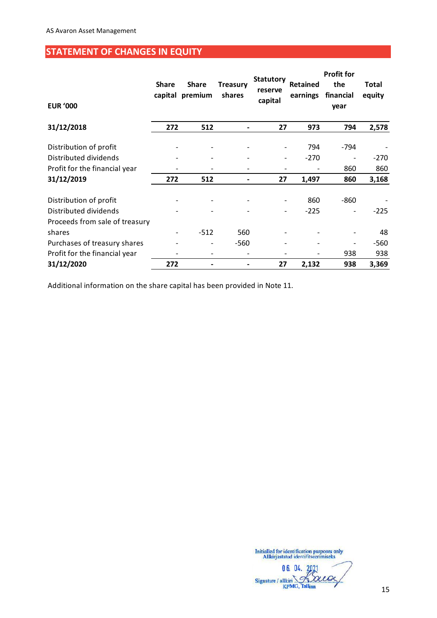# <span id="page-14-0"></span>**STATEMENT OF CHANGES IN EQUITY**

| <b>EUR '000</b>                | <b>Share</b>             | <b>Share</b><br>capital premium | <b>Treasury</b><br>shares | <b>Statutory</b><br>reserve<br>capital | <b>Retained</b><br>earnings | <b>Profit for</b><br>the<br>financial<br>year | <b>Total</b><br>equity |
|--------------------------------|--------------------------|---------------------------------|---------------------------|----------------------------------------|-----------------------------|-----------------------------------------------|------------------------|
| 31/12/2018                     | 272                      | 512                             |                           | 27                                     | 973                         | 794                                           | 2,578                  |
| Distribution of profit         |                          |                                 |                           |                                        | 794                         | $-794$                                        |                        |
| Distributed dividends          |                          |                                 |                           |                                        | $-270$                      |                                               | $-270$                 |
| Profit for the financial year  |                          |                                 |                           |                                        |                             | 860                                           | 860                    |
| 31/12/2019                     | 272                      | 512                             |                           | 27                                     | 1,497                       | 860                                           | 3,168                  |
| Distribution of profit         |                          |                                 |                           |                                        | 860                         | $-860$                                        |                        |
| Distributed dividends          |                          |                                 |                           |                                        | $-225$                      |                                               | $-225$                 |
| Proceeds from sale of treasury |                          |                                 |                           |                                        |                             |                                               |                        |
| shares                         | $\overline{\phantom{a}}$ | $-512$                          | 560                       |                                        |                             |                                               | 48                     |
| Purchases of treasury shares   |                          |                                 | -560                      |                                        |                             |                                               | $-560$                 |
| Profit for the financial year  |                          |                                 |                           |                                        |                             | 938                                           | 938                    |
| 31/12/2020                     | 272                      |                                 |                           | 27                                     | 2,132                       | 938                                           | 3,369                  |

Additional information on the share capital has been provided in Note 11.

06. 04. 2021 acca Signature / allkiri Ñ. **KPMG, Tallinn**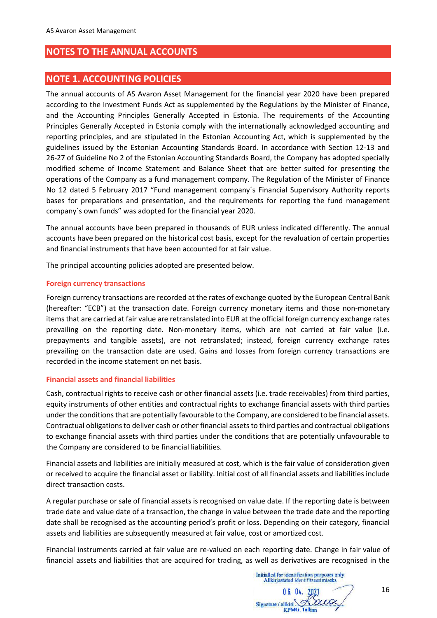# <span id="page-15-0"></span>**NOTES TO THE ANNUAL ACCOUNTS**

### <span id="page-15-1"></span>**NOTE 1. ACCOUNTING POLICIES**

The annual accounts of AS Avaron Asset Management for the financial year 2020 have been prepared according to the Investment Funds Act as supplemented by the Regulations by the Minister of Finance, and the Accounting Principles Generally Accepted in Estonia. The requirements of the Accounting Principles Generally Accepted in Estonia comply with the internationally acknowledged accounting and reporting principles, and are stipulated in the Estonian Accounting Act, which is supplemented by the guidelines issued by the Estonian Accounting Standards Board. In accordance with Section 12-13 and 26-27 of Guideline No 2 of the Estonian Accounting Standards Board, the Company has adopted specially modified scheme of Income Statement and Balance Sheet that are better suited for presenting the operations of the Company as a fund management company. The Regulation of the Minister of Finance No 12 dated 5 February 2017 "Fund management company´s Financial Supervisory Authority reports bases for preparations and presentation, and the requirements for reporting the fund management company´s own funds" was adopted for the financial year 2020.

The annual accounts have been prepared in thousands of EUR unless indicated differently. The annual accounts have been prepared on the historical cost basis, except for the revaluation of certain properties and financial instruments that have been accounted for at fair value.

The principal accounting policies adopted are presented below.

#### **Foreign currency transactions**

Foreign currency transactions are recorded at the rates of exchange quoted by the European Central Bank (hereafter: "ECB") at the transaction date. Foreign currency monetary items and those non-monetary items that are carried at fair value are retranslated into EUR at the official foreign currency exchange rates prevailing on the reporting date. Non-monetary items, which are not carried at fair value (i.e. prepayments and tangible assets), are not retranslated; instead, foreign currency exchange rates prevailing on the transaction date are used. Gains and losses from foreign currency transactions are recorded in the income statement on net basis.

#### **Financial assets and financial liabilities**

Cash, contractual rights to receive cash or other financial assets (i.e. trade receivables) from third parties, equity instruments of other entities and contractual rights to exchange financial assets with third parties under the conditions that are potentially favourable to the Company, are considered to be financial assets. Contractual obligations to deliver cash or other financial assets to third parties and contractual obligations to exchange financial assets with third parties under the conditions that are potentially unfavourable to the Company are considered to be financial liabilities.

Financial assets and liabilities are initially measured at cost, which is the fair value of consideration given or received to acquire the financial asset or liability. Initial cost of all financial assets and liabilities include direct transaction costs.

A regular purchase or sale of financial assets is recognised on value date. If the reporting date is between trade date and value date of a transaction, the change in value between the trade date and the reporting date shall be recognised as the accounting period's profit or loss. Depending on their category, financial assets and liabilities are subsequently measured at fair value, cost or amortized cost.

Financial instruments carried at fair value are re-valued on each reporting date. Change in fair value of financial assets and liabilities that are acquired for trading, as well as derivatives are recognised in the

Initialled for identification purposes only Allkirjastatud identifitseerimiseks  $06<sub>04</sub>$ Loug Signature / allkiri KPMG,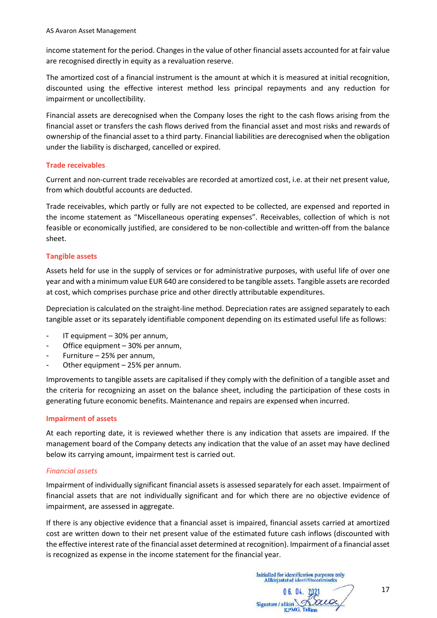income statement for the period. Changes in the value of other financial assets accounted for at fair value are recognised directly in equity as a revaluation reserve.

The amortized cost of a financial instrument is the amount at which it is measured at initial recognition, discounted using the effective interest method less principal repayments and any reduction for impairment or uncollectibility.

Financial assets are derecognised when the Company loses the right to the cash flows arising from the financial asset or transfers the cash flows derived from the financial asset and most risks and rewards of ownership of the financial asset to a third party. Financial liabilities are derecognised when the obligation under the liability is discharged, cancelled or expired.

#### **Trade receivables**

Current and non-current trade receivables are recorded at amortized cost, i.e. at their net present value, from which doubtful accounts are deducted.

Trade receivables, which partly or fully are not expected to be collected, are expensed and reported in the income statement as "Miscellaneous operating expenses". Receivables, collection of which is not feasible or economically justified, are considered to be non-collectible and written-off from the balance sheet.

#### **Tangible assets**

Assets held for use in the supply of services or for administrative purposes, with useful life of over one year and with a minimum value EUR 640 are considered to be tangible assets. Tangible assets are recorded at cost, which comprises purchase price and other directly attributable expenditures.

Depreciation is calculated on the straight-line method. Depreciation rates are assigned separately to each tangible asset or its separately identifiable component depending on its estimated useful life as follows:

- IT equipment 30% per annum,
- Office equipment 30% per annum,
- Furniture 25% per annum,
- Other equipment  $25%$  per annum.

Improvements to tangible assets are capitalised if they comply with the definition of a tangible asset and the criteria for recognizing an asset on the balance sheet, including the participation of these costs in generating future economic benefits. Maintenance and repairs are expensed when incurred.

#### **Impairment of assets**

At each reporting date, it is reviewed whether there is any indication that assets are impaired. If the management board of the Company detects any indication that the value of an asset may have declined below its carrying amount, impairment test is carried out.

### *Financial assets*

Impairment of individually significant financial assets is assessed separately for each asset. Impairment of financial assets that are not individually significant and for which there are no objective evidence of impairment, are assessed in aggregate.

If there is any objective evidence that a financial asset is impaired, financial assets carried at amortized cost are written down to their net present value of the estimated future cash inflows (discounted with the effective interest rate of the financial asset determined at recognition). Impairment of a financial asset is recognized as expense in the income statement for the financial year.

Initialled for identification purposes only Allkirjastatud identifitseerimiseks

Signature / allkiri **KPMG**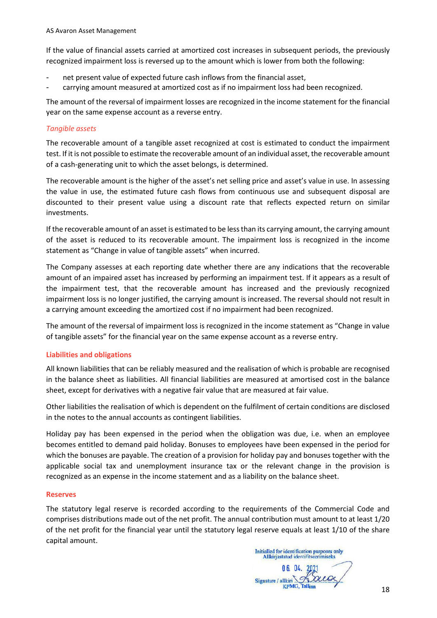If the value of financial assets carried at amortized cost increases in subsequent periods, the previously recognized impairment loss is reversed up to the amount which is lower from both the following:

- net present value of expected future cash inflows from the financial asset,
- carrying amount measured at amortized cost as if no impairment loss had been recognized.

The amount of the reversal of impairment losses are recognized in the income statement for the financial year on the same expense account as a reverse entry.

### *Tangible assets*

The recoverable amount of a tangible asset recognized at cost is estimated to conduct the impairment test. If it is not possible to estimate the recoverable amount of an individual asset, the recoverable amount of a cash-generating unit to which the asset belongs, is determined.

The recoverable amount is the higher of the asset's net selling price and asset's value in use. In assessing the value in use, the estimated future cash flows from continuous use and subsequent disposal are discounted to their present value using a discount rate that reflects expected return on similar investments.

If the recoverable amount of an asset is estimated to be less than its carrying amount, the carrying amount of the asset is reduced to its recoverable amount. The impairment loss is recognized in the income statement as "Change in value of tangible assets" when incurred.

The Company assesses at each reporting date whether there are any indications that the recoverable amount of an impaired asset has increased by performing an impairment test. If it appears as a result of the impairment test, that the recoverable amount has increased and the previously recognized impairment loss is no longer justified, the carrying amount is increased. The reversal should not result in a carrying amount exceeding the amortized cost if no impairment had been recognized.

The amount of the reversal of impairment loss is recognized in the income statement as "Change in value of tangible assets" for the financial year on the same expense account as a reverse entry.

### **Liabilities and obligations**

All known liabilities that can be reliably measured and the realisation of which is probable are recognised in the balance sheet as liabilities. All financial liabilities are measured at amortised cost in the balance sheet, except for derivatives with a negative fair value that are measured at fair value.

Other liabilities the realisation of which is dependent on the fulfilment of certain conditions are disclosed in the notes to the annual accounts as contingent liabilities.

Holiday pay has been expensed in the period when the obligation was due, i.e. when an employee becomes entitled to demand paid holiday. Bonuses to employees have been expensed in the period for which the bonuses are payable. The creation of a provision for holiday pay and bonuses together with the applicable social tax and unemployment insurance tax or the relevant change in the provision is recognized as an expense in the income statement and as a liability on the balance sheet.

#### **Reserves**

The statutory legal reserve is recorded according to the requirements of the Commercial Code and comprises distributions made out of the net profit. The annual contribution must amount to at least 1/20 of the net profit for the financial year until the statutory legal reserve equals at least 1/10 of the share capital amount.

Initialled for identification purposes only<br>Allkirjastatud identifitseerimiseks Signature / allki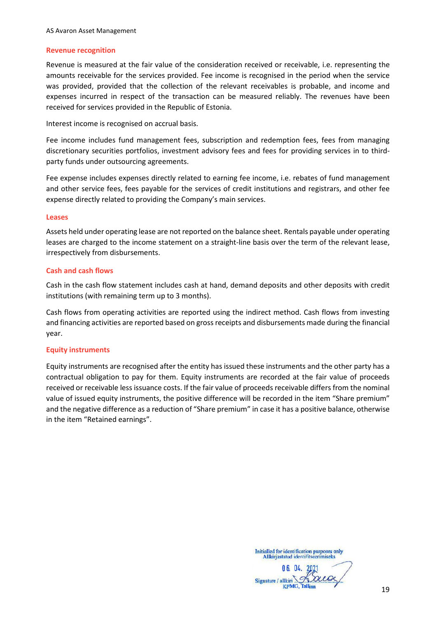#### **Revenue recognition**

Revenue is measured at the fair value of the consideration received or receivable, i.e. representing the amounts receivable for the services provided. Fee income is recognised in the period when the service was provided, provided that the collection of the relevant receivables is probable, and income and expenses incurred in respect of the transaction can be measured reliably. The revenues have been received for services provided in the Republic of Estonia.

Interest income is recognised on accrual basis.

Fee income includes fund management fees, subscription and redemption fees, fees from managing discretionary securities portfolios, investment advisory fees and fees for providing services in to thirdparty funds under outsourcing agreements.

Fee expense includes expenses directly related to earning fee income, i.e. rebates of fund management and other service fees, fees payable for the services of credit institutions and registrars, and other fee expense directly related to providing the Company's main services.

#### **Leases**

Assets held under operating lease are not reported on the balance sheet. Rentals payable under operating leases are charged to the income statement on a straight-line basis over the term of the relevant lease, irrespectively from disbursements.

#### **Cash and cash flows**

Cash in the cash flow statement includes cash at hand, demand deposits and other deposits with credit institutions (with remaining term up to 3 months).

Cash flows from operating activities are reported using the indirect method. Cash flows from investing and financing activities are reported based on gross receipts and disbursements made during the financial year.

#### **Equity instruments**

Equity instruments are recognised after the entity has issued these instruments and the other party has a contractual obligation to pay for them. Equity instruments are recorded at the fair value of proceeds received or receivable less issuance costs. If the fair value of proceeds receivable differs from the nominal value of issued equity instruments, the positive difference will be recorded in the item "Share premium" and the negative difference as a reduction of "Share premium" in case it has a positive balance, otherwise in the item "Retained earnings".

Signature /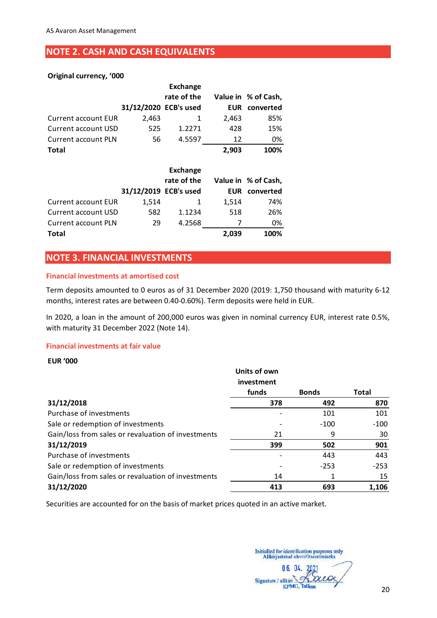# <span id="page-19-0"></span>**NOTE 2. CASH AND CASH EQUIVALENTS**

### **Original currency, '000**

|                            |                       | Exchange    |       |                      |
|----------------------------|-----------------------|-------------|-------|----------------------|
|                            |                       | rate of the |       | Value in % of Cash,  |
|                            | 31/12/2020 ECB's used |             |       | <b>EUR</b> converted |
| <b>Current account EUR</b> | 2,463                 |             | 2,463 | 85%                  |
| Current account USD        | 525                   | 1.2271      | 428   | 15%                  |
| <b>Current account PLN</b> | 56                    | 4.5597      | 12    | 0%                   |
| <b>Total</b>               |                       |             | 2,903 | 100%                 |

|                            |                       | <b>Exchange</b> |            |                     |
|----------------------------|-----------------------|-----------------|------------|---------------------|
|                            |                       | rate of the     |            | Value in % of Cash, |
|                            | 31/12/2019 ECB's used |                 | <b>EUR</b> | converted           |
| <b>Current account EUR</b> | 1.514                 |                 | 1.514      | 74%                 |
| <b>Current account USD</b> | 582                   | 1.1234          | 518        | 26%                 |
| <b>Current account PLN</b> | 29                    | 4.2568          |            | 0%                  |
| <b>Total</b>               |                       |                 | 2,039      | 100%                |

### <span id="page-19-1"></span>**NOTE 3. FINANCIAL INVESTMENTS**

#### **Financial investments at amortised cost**

Term deposits amounted to 0 euros as of 31 December 2020 (2019: 1,750 thousand with maturity 6-12 months, interest rates are between 0.40-0.60%). Term deposits were held in EUR.

In 2020, a loan in the amount of 200,000 euros was given in nominal currency EUR, interest rate 0.5%, with maturity 31 December 2022 (Note 14).

#### **Financial investments at fair value**

#### **EUR '000**

|                                                    | <b>Units of own</b> |              |              |
|----------------------------------------------------|---------------------|--------------|--------------|
|                                                    | investment          |              |              |
|                                                    | funds               | <b>Bonds</b> | <b>Total</b> |
| 31/12/2018                                         | 378                 | 492          | 870          |
| Purchase of investments                            |                     | 101          | 101          |
| Sale or redemption of investments                  |                     | $-100$       | $-100$       |
| Gain/loss from sales or revaluation of investments | 21                  | 9            | 30           |
| 31/12/2019                                         | 399                 | 502          | 901          |
| Purchase of investments                            |                     | 443          | 443          |
| Sale or redemption of investments                  |                     | $-253$       | $-253$       |
| Gain/loss from sales or revaluation of investments | 14                  |              | 15           |
| 31/12/2020                                         | 413                 | 693          | 1,106        |

Securities are accounted for on the basis of market prices quoted in an active market.

Signature / allkiri **KPMG, Tallim**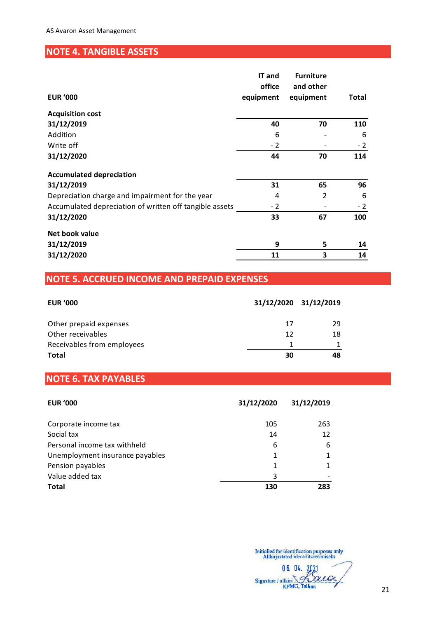# <span id="page-20-0"></span>**NOTE 4. TANGIBLE ASSETS**

|                                                         | IT and<br>office | <b>Furniture</b><br>and other |       |
|---------------------------------------------------------|------------------|-------------------------------|-------|
| <b>EUR '000</b>                                         | equipment        | equipment                     | Total |
| <b>Acquisition cost</b>                                 |                  |                               |       |
| 31/12/2019                                              | 40               | 70                            | 110   |
| Addition                                                | 6                |                               | 6     |
| Write off                                               | $-2$             |                               | $-2$  |
| 31/12/2020                                              | 44               | 70                            | 114   |
| <b>Accumulated depreciation</b>                         |                  |                               |       |
| 31/12/2019                                              | 31               | 65                            | 96    |
| Depreciation charge and impairment for the year         | 4                | $\overline{2}$                | 6     |
| Accumulated depreciation of written off tangible assets | $-2$             |                               | $-2$  |
| 31/12/2020                                              | 33               | 67                            | 100   |
| Net book value                                          |                  |                               |       |
| 31/12/2019                                              | 9                | 5                             | 14    |
| 31/12/2020                                              | 11               | 3                             | 14    |

# <span id="page-20-1"></span>**NOTE 5. ACCRUED INCOME AND PREPAID EXPENSES**

| <b>EUR '000</b>            | 31/12/2020 31/12/2019 |    |
|----------------------------|-----------------------|----|
| Other prepaid expenses     | 17                    | 29 |
| Other receivables          | 12                    | 18 |
| Receivables from employees |                       |    |
| <b>Total</b>               | 30                    | 48 |

# <span id="page-20-2"></span>**NOTE 6. TAX PAYABLES**

| <b>EUR '000</b>                 | 31/12/2020 | 31/12/2019 |
|---------------------------------|------------|------------|
| Corporate income tax            | 105        | 263        |
| Social tax                      | 14         | 12         |
| Personal income tax withheld    | 6          | 6          |
| Unemployment insurance payables | 1          | 1          |
| Pension payables                | 1          | 1          |
| Value added tax                 | 3          |            |
| <b>Total</b>                    | 130        | 283        |

06. 04. 2021 Loue  $\epsilon$ Signature / allkiri. **KPMG, Tallinn**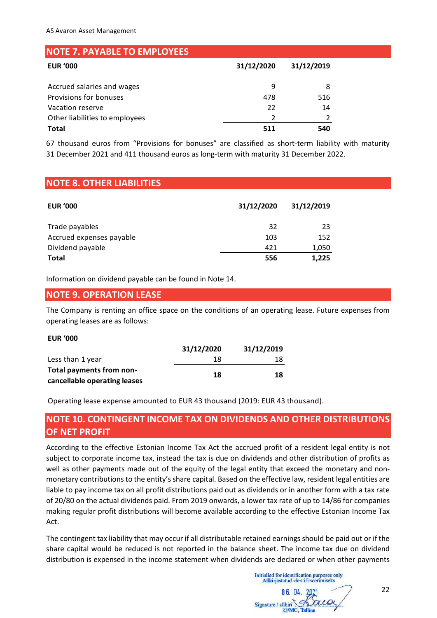<span id="page-21-0"></span>

| <b>NOTE 7. PAYABLE TO EMPLOYEES</b> |            |            |
|-------------------------------------|------------|------------|
| <b>EUR '000</b>                     | 31/12/2020 | 31/12/2019 |
| Accrued salaries and wages          | 9          | 8          |
| Provisions for bonuses              | 478        | 516        |
| Vacation reserve                    | 22         | 14         |
| Other liabilities to employees      |            |            |
| <b>Total</b>                        | 511        | 540        |

67 thousand euros from "Provisions for bonuses" are classified as short-term liability with maturity 31 December 2021 and 411 thousand euros as long-term with maturity 31 December 2022.

# <span id="page-21-1"></span>**NOTE 8. OTHER LIABILITIES**

| <b>EUR '000</b>          | 31/12/2020 | 31/12/2019 |
|--------------------------|------------|------------|
| Trade payables           | 32         | 23         |
| Accrued expenses payable | 103        | 152        |
| Dividend payable         | 421        | 1,050      |
| <b>Total</b>             | 556        | 1,225      |

Information on dividend payable can be found in Note 14.

### <span id="page-21-2"></span>**NOTE 9. OPERATION LEASE**

The Company is renting an office space on the conditions of an operating lease. Future expenses from operating leases are as follows:

**EUR '000**

|                              | 31/12/2020 | 31/12/2019 |
|------------------------------|------------|------------|
| Less than 1 year             | 18         | 18         |
| Total payments from non-     | 18         | 18         |
| cancellable operating leases |            |            |

Operating lease expense amounted to EUR 43 thousand (2019: EUR 43 thousand).

# <span id="page-21-3"></span>**NOTE 10. CONTINGENT INCOME TAX ON DIVIDENDS AND OTHER DISTRIBUTIONS OF NET PROFIT**

According to the effective Estonian Income Tax Act the accrued profit of a resident legal entity is not subject to corporate income tax, instead the tax is due on dividends and other distribution of profits as well as other payments made out of the equity of the legal entity that exceed the monetary and nonmonetary contributions to the entity's share capital. Based on the effective law, resident legal entities are liable to pay income tax on all profit distributions paid out as dividends or in another form with a tax rate of 20/80 on the actual dividends paid. From 2019 onwards, a lower tax rate of up to 14/86 for companies making regular profit distributions will become available according to the effective Estonian Income Tax Act.

The contingent tax liability that may occur if all distributable retained earnings should be paid out or if the share capital would be reduced is not reported in the balance sheet. The income tax due on dividend distribution is expensed in the income statement when dividends are declared or when other payments

Initialled for identification purposes only Allkirjastatud identifitseerimiseks Signature / allkiri KPMG,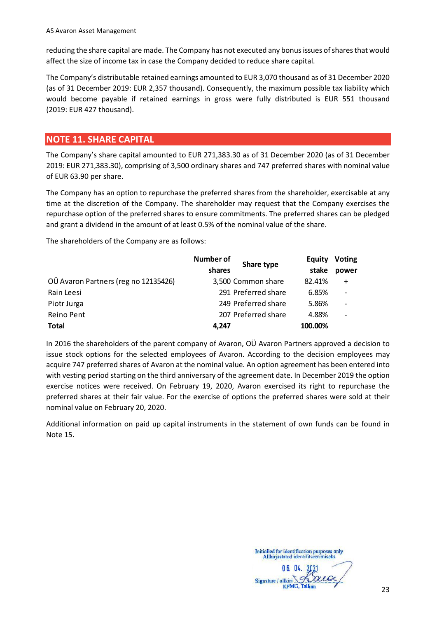reducing the share capital are made. The Company has not executed any bonus issues of shares that would affect the size of income tax in case the Company decided to reduce share capital.

The Company's distributable retained earnings amounted to EUR 3,070 thousand as of 31 December 2020 (as of 31 December 2019: EUR 2,357 thousand). Consequently, the maximum possible tax liability which would become payable if retained earnings in gross were fully distributed is EUR 551 thousand (2019: EUR 427 thousand).

# <span id="page-22-0"></span>**NOTE 11. SHARE CAPITAL**

The Company's share capital amounted to EUR 271,383.30 as of 31 December 2020 (as of 31 December 2019: EUR 271,383.30), comprising of 3,500 ordinary shares and 747 preferred shares with nominal value of EUR 63.90 per share.

The Company has an option to repurchase the preferred shares from the shareholder, exercisable at any time at the discretion of the Company. The shareholder may request that the Company exercises the repurchase option of the preferred shares to ensure commitments. The preferred shares can be pledged and grant a dividend in the amount of at least 0.5% of the nominal value of the share.

The shareholders of the Company are as follows:

|                                      | <b>Number of</b><br>Share type<br>shares | <b>Equity</b><br>stake | <b>Voting</b><br>power |
|--------------------------------------|------------------------------------------|------------------------|------------------------|
| OÜ Avaron Partners (reg no 12135426) | 3,500 Common share                       | 82.41%                 | $\ddot{}$              |
| Rain Leesi                           | 291 Preferred share                      | 6.85%                  |                        |
| Piotr Jurga                          | 249 Preferred share                      | 5.86%                  |                        |
| Reino Pent                           | 207 Preferred share                      | 4.88%                  |                        |
| <b>Total</b>                         | 4.247                                    | 100.00%                |                        |

In 2016 the shareholders of the parent company of Avaron, OÜ Avaron Partners approved a decision to issue stock options for the selected employees of Avaron. According to the decision employees may acquire 747 preferred shares of Avaron at the nominal value. An option agreement has been entered into with vesting period starting on the third anniversary of the agreement date. In December 2019 the option exercise notices were received. On February 19, 2020, Avaron exercised its right to repurchase the preferred shares at their fair value. For the exercise of options the preferred shares were sold at their nominal value on February 20, 2020.

Additional information on paid up capital instruments in the statement of own funds can be found in Note 15.

Signature /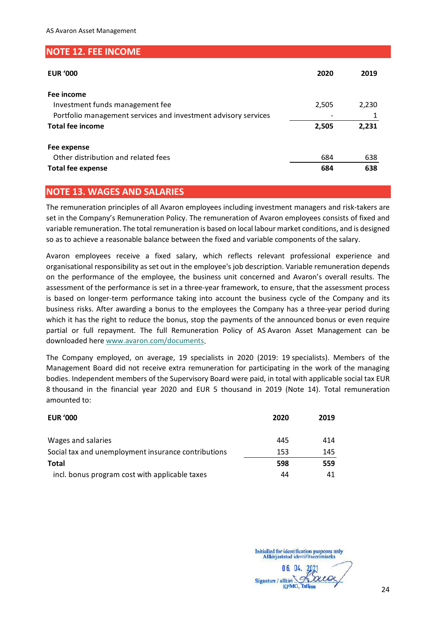### <span id="page-23-0"></span>**NOTE 12. FEE INCOME**

| <b>EUR '000</b>                                                | 2020  | 2019  |
|----------------------------------------------------------------|-------|-------|
| Fee income                                                     |       |       |
| Investment funds management fee                                | 2,505 | 2,230 |
| Portfolio management services and investment advisory services |       |       |
| <b>Total fee income</b>                                        | 2,505 | 2,231 |
| Fee expense                                                    |       |       |
| Other distribution and related fees                            | 684   | 638   |
| <b>Total fee expense</b>                                       | 684   | 638   |

# <span id="page-23-1"></span>**NOTE 13. WAGES AND SALARIES**

The remuneration principles of all Avaron employees including investment managers and risk-takers are set in the Company's Remuneration Policy. The remuneration of Avaron employees consists of fixed and variable remuneration. The total remuneration is based on local labour market conditions, and is designed so as to achieve a reasonable balance between the fixed and variable components of the salary.

Avaron employees receive a fixed salary, which reflects relevant professional experience and organisational responsibility as set out in the employee's job description. Variable remuneration depends on the performance of the employee, the business unit concerned and Avaron's overall results. The assessment of the performance is set in a three-year framework, to ensure, that the assessment process is based on longer-term performance taking into account the business cycle of the Company and its business risks. After awarding a bonus to the employees the Company has a three-year period during which it has the right to reduce the bonus, stop the payments of the announced bonus or even require partial or full repayment. The full Remuneration Policy of AS Avaron Asset Management can be downloaded her[e www.avaron.com/documents.](http://www.avaron.com/documents)

The Company employed, on average, 19 specialists in 2020 (2019: 19 specialists). Members of the Management Board did not receive extra remuneration for participating in the work of the managing bodies. Independent members of the Supervisory Board were paid, in total with applicable social tax EUR 8 thousand in the financial year 2020 and EUR 5 thousand in 2019 (Note 14). Total remuneration amounted to:

| <b>EUR '000</b>                                     | 2020 | 2019 |
|-----------------------------------------------------|------|------|
|                                                     | 445  | 414  |
| Wages and salaries                                  |      |      |
| Social tax and unemployment insurance contributions | 153  | 145  |
| <b>Total</b>                                        | 598  | 559  |
| incl. bonus program cost with applicable taxes      | 44   | 41   |

N.G. 04. Signature / allkiri **KPMG, Talling**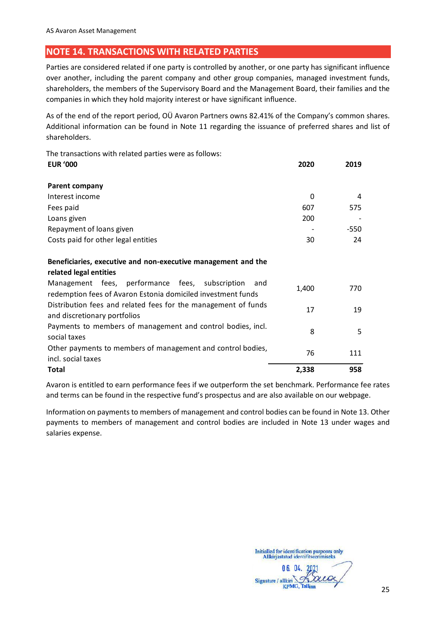# <span id="page-24-0"></span>**NOTE 14. TRANSACTIONS WITH RELATED PARTIES**

Parties are considered related if one party is controlled by another, or one party has significant influence over another, including the parent company and other group companies, managed investment funds, shareholders, the members of the Supervisory Board and the Management Board, their families and the companies in which they hold majority interest or have significant influence.

As of the end of the report period, OÜ Avaron Partners owns 82.41% of the Company's common shares. Additional information can be found in Note 11 regarding the issuance of preferred shares and list of shareholders.

The transactions with related parties were as follows: **EUR '000 2020 2019**

| <b>Parent company</b>                                                                                                  |       |      |
|------------------------------------------------------------------------------------------------------------------------|-------|------|
| Interest income                                                                                                        | 0     | 4    |
| Fees paid                                                                                                              | 607   | 575  |
| Loans given                                                                                                            | 200   |      |
| Repayment of loans given                                                                                               |       | -550 |
| Costs paid for other legal entities                                                                                    | 30    | 24   |
|                                                                                                                        |       |      |
| Beneficiaries, executive and non-executive management and the                                                          |       |      |
| related legal entities                                                                                                 |       |      |
| Management fees, performance fees, subscription<br>and<br>redemption fees of Avaron Estonia domiciled investment funds | 1,400 | 770  |
| Distribution fees and related fees for the management of funds<br>and discretionary portfolios                         | 17    | 19   |
| Payments to members of management and control hodies incl                                                              |       |      |

Payments to members of management and control bodies, incl.  $\begin{array}{cccc} 8 & 5 \end{array}$ Other payments to members of management and control bodies, other payments to members or management and control bodies,  $76$  111<br>incl. social taxes **Total 2,338 958**

Avaron is entitled to earn performance fees if we outperform the set benchmark. Performance fee rates and terms can be found in the respective fund's prospectus and are also available on our webpage.

Information on payments to members of management and control bodies can be found in Note 13. Other payments to members of management and control bodies are included in Note 13 under wages and salaries expense.

25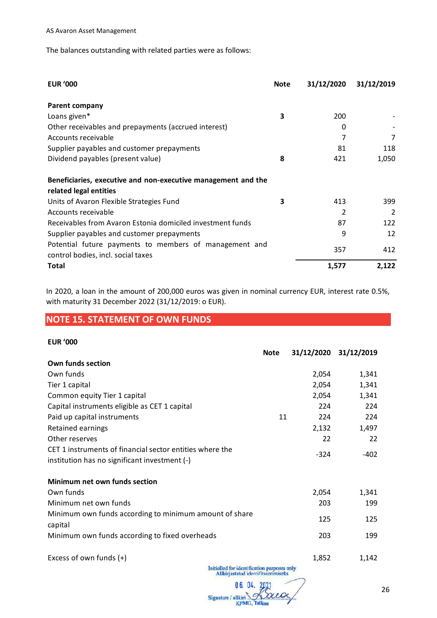The balances outstanding with related parties were as follows:

| <b>EUR '000</b>                                                                              | <b>Note</b> | 31/12/2020 | 31/12/2019 |
|----------------------------------------------------------------------------------------------|-------------|------------|------------|
| Parent company                                                                               |             |            |            |
| Loans given*                                                                                 | 3           | 200        |            |
| Other receivables and prepayments (accrued interest)                                         |             | 0          |            |
| Accounts receivable                                                                          |             | 7          | 7          |
| Supplier payables and customer prepayments                                                   |             | 81         | 118        |
| Dividend payables (present value)                                                            | 8           | 421        | 1,050      |
| Beneficiaries, executive and non-executive management and the                                |             |            |            |
| related legal entities                                                                       |             |            |            |
| Units of Avaron Flexible Strategies Fund                                                     | 3           | 413        | 399        |
| Accounts receivable                                                                          |             | 2          | 2          |
| Receivables from Avaron Estonia domiciled investment funds                                   |             | 87         | 122        |
| Supplier payables and customer prepayments                                                   |             | 9          | 12         |
| Potential future payments to members of management and<br>control bodies, incl. social taxes |             | 357        | 412        |
| <b>Total</b>                                                                                 |             | 1,577      | 2,122      |

In 2020, a loan in the amount of 200,000 euros was given in nominal currency EUR, interest rate 0.5%, with maturity 31 December 2022 (31/12/2019: o EUR).

# <span id="page-25-0"></span>**NOTE 15. STATEMENT OF OWN FUNDS**

#### **EUR '000**

|                                                                        | <b>Note</b> |        | 31/12/2020 31/12/2019 |
|------------------------------------------------------------------------|-------------|--------|-----------------------|
| Own funds section                                                      |             |        |                       |
| Own funds                                                              |             | 2,054  | 1,341                 |
| Tier 1 capital                                                         |             | 2,054  | 1,341                 |
| Common equity Tier 1 capital                                           |             | 2,054  | 1,341                 |
| Capital instruments eligible as CET 1 capital                          |             | 224    | 224                   |
| Paid up capital instruments                                            | 11          | 224    | 224                   |
| Retained earnings                                                      |             | 2,132  | 1,497                 |
| Other reserves                                                         |             | 22     | 22                    |
| CET 1 instruments of financial sector entities where the               |             | $-324$ | $-402$                |
| institution has no significant investment (-)                          |             |        |                       |
| Minimum net own funds section                                          |             |        |                       |
| Own funds                                                              |             | 2,054  | 1,341                 |
| Minimum net own funds                                                  |             | 203    | 199                   |
| Minimum own funds according to minimum amount of share<br>capital      |             | 125    | 125                   |
| Minimum own funds according to fixed overheads                         |             | 203    | 199                   |
| Excess of own funds (+)<br>Initialled for identification nurnoses only |             | 1,852  | 1,142                 |

Allkirjastatud identifitseerimiseks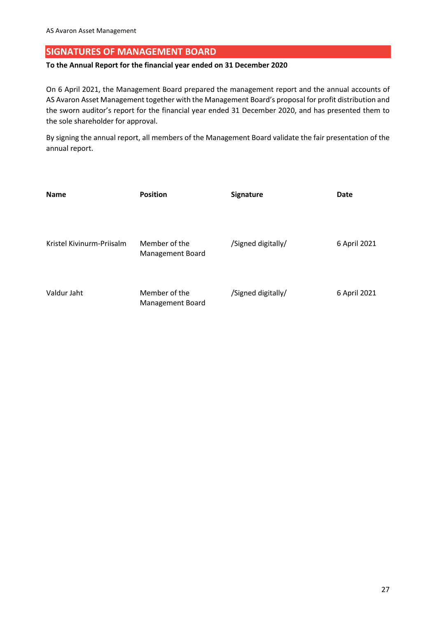# <span id="page-26-0"></span>**SIGNATURES OF MANAGEMENT BOARD**

#### **To the Annual Report for the financial year ended on 31 December 2020**

On 6 April 2021, the Management Board prepared the management report and the annual accounts of AS Avaron Asset Management together with the Management Board's proposal for profit distribution and the sworn auditor's report for the financial year ended 31 December 2020, and has presented them to the sole shareholder for approval.

By signing the annual report, all members of the Management Board validate the fair presentation of the annual report.

| <b>Name</b>               | <b>Position</b>                   | <b>Signature</b>   | Date         |
|---------------------------|-----------------------------------|--------------------|--------------|
|                           |                                   |                    |              |
| Kristel Kivinurm-Priisalm | Member of the<br>Management Board | /Signed digitally/ | 6 April 2021 |
| Valdur Jaht               | Member of the<br>Management Board | /Signed digitally/ | 6 April 2021 |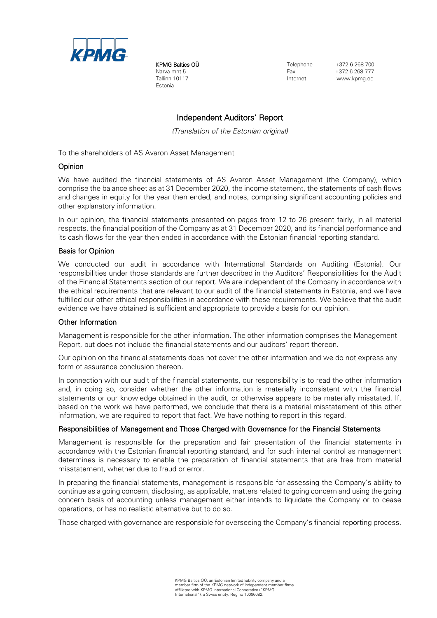

KPMG Baltics OÜ Narva mnt 5 Tallinn 10117 Estonia

Telephone  $+372$  6 268 700 Fax +372 6 268 777 www.kpmg.ee

### Independent Auditors' Report

*(Translation of the Estonian original)*

To the shareholders of AS Avaron Asset Management

#### Opinion

We have audited the financial statements of AS Avaron Asset Management (the Company), which comprise the balance sheet as at 31 December 2020, the income statement, the statements of cash flows and changes in equity for the year then ended, and notes, comprising significant accounting policies and other explanatory information.

In our opinion, the financial statements presented on pages from 12 to 26 present fairly, in all material respects, the financial position of the Company as at 31 December 2020, and its financial performance and its cash flows for the year then ended in accordance with the Estonian financial reporting standard.

#### Basis for Opinion

We conducted our audit in accordance with International Standards on Auditing (Estonia). Our responsibilities under those standards are further described in the Auditors' Responsibilities for the Audit of the Financial Statements section of our report. We are independent of the Company in accordance with the ethical requirements that are relevant to our audit of the financial statements in Estonia, and we have fulfilled our other ethical responsibilities in accordance with these requirements. We believe that the audit evidence we have obtained is sufficient and appropriate to provide a basis for our opinion.

#### Other Information

Management is responsible for the other information. The other information comprises the Management Report, but does not include the financial statements and our auditors' report thereon.

Our opinion on the financial statements does not cover the other information and we do not express any form of assurance conclusion thereon.

In connection with our audit of the financial statements, our responsibility is to read the other information and, in doing so, consider whether the other information is materially inconsistent with the financial statements or our knowledge obtained in the audit, or otherwise appears to be materially misstated. If, based on the work we have performed, we conclude that there is a material misstatement of this other information, we are required to report that fact. We have nothing to report in this regard.

#### Responsibilities of Management and Those Charged with Governance for the Financial Statements

Management is responsible for the preparation and fair presentation of the financial statements in accordance with the Estonian financial reporting standard, and for such internal control as management determines is necessary to enable the preparation of financial statements that are free from material misstatement, whether due to fraud or error.

In preparing the financial statements, management is responsible for assessing the Company's ability to continue as a going concern, disclosing, as applicable, matters related to going concern and using the going concern basis of accounting unless management either intends to liquidate the Company or to cease operations, or has no realistic alternative but to do so.

Those charged with governance are responsible for overseeing the Company's financial reporting process.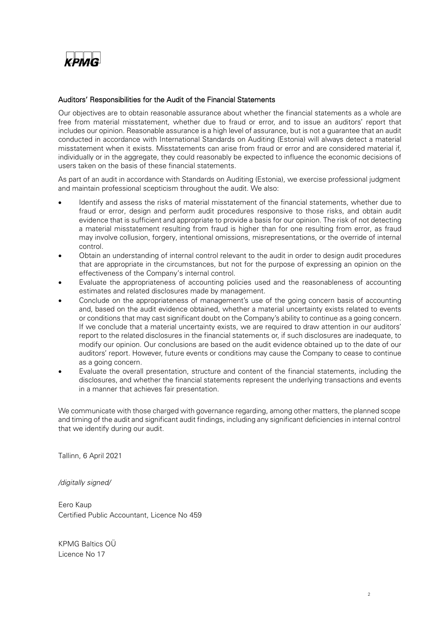

#### Auditors' Responsibilities for the Audit of the Financial Statements

Our objectives are to obtain reasonable assurance about whether the financial statements as a whole are free from material misstatement, whether due to fraud or error, and to issue an auditors' report that includes our opinion. Reasonable assurance is a high level of assurance, but is not a guarantee that an audit conducted in accordance with International Standards on Auditing (Estonia) will always detect a material misstatement when it exists. Misstatements can arise from fraud or error and are considered material if, individually or in the aggregate, they could reasonably be expected to influence the economic decisions of users taken on the basis of these financial statements.

As part of an audit in accordance with Standards on Auditing (Estonia), we exercise professional judgment and maintain professional scepticism throughout the audit. We also:

- Identify and assess the risks of material misstatement of the financial statements, whether due to fraud or error, design and perform audit procedures responsive to those risks, and obtain audit evidence that is sufficient and appropriate to provide a basis for our opinion. The risk of not detecting a material misstatement resulting from fraud is higher than for one resulting from error, as fraud may involve collusion, forgery, intentional omissions, misrepresentations, or the override of internal control.
- Obtain an understanding of internal control relevant to the audit in order to design audit procedures that are appropriate in the circumstances, but not for the purpose of expressing an opinion on the effectiveness of the Company's internal control.
- Evaluate the appropriateness of accounting policies used and the reasonableness of accounting estimates and related disclosures made by management.
- Conclude on the appropriateness of management's use of the going concern basis of accounting and, based on the audit evidence obtained, whether a material uncertainty exists related to events or conditions that may cast significant doubt on the Company's ability to continue as a going concern. If we conclude that a material uncertainty exists, we are required to draw attention in our auditors' report to the related disclosures in the financial statements or, if such disclosures are inadequate, to modify our opinion. Our conclusions are based on the audit evidence obtained up to the date of our auditors' report. However, future events or conditions may cause the Company to cease to continue as a going concern.
- Evaluate the overall presentation, structure and content of the financial statements, including the disclosures, and whether the financial statements represent the underlying transactions and events in a manner that achieves fair presentation.

We communicate with those charged with governance regarding, among other matters, the planned scope and timing of the audit and significant audit findings, including any significant deficiencies in internal control that we identify during our audit.

Tallinn, 6 April 2021

*/digitally signed/*

Eero Kaup Certified Public Accountant, Licence No 459

KPMG Baltics OÜ Licence No 17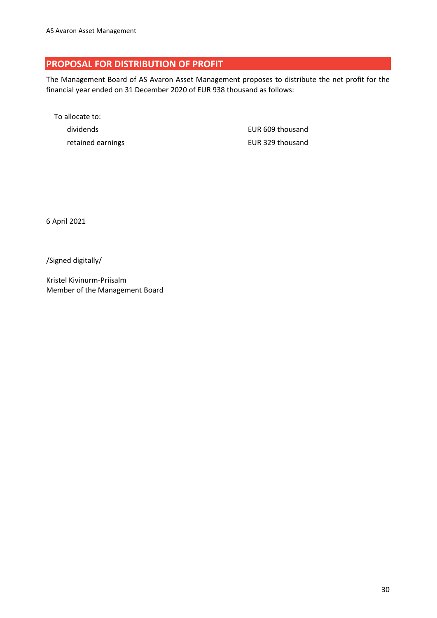# <span id="page-29-0"></span>**PROPOSAL FOR DISTRIBUTION OF PROFIT**

The Management Board of AS Avaron Asset Management proposes to distribute the net profit for the financial year ended on 31 December 2020 of EUR 938 thousand as follows:

To allocate to: dividends EUR 609 thousand retained earnings **EUR 329** thousand

6 April 2021

/Signed digitally/

Kristel Kivinurm-Priisalm Member of the Management Board